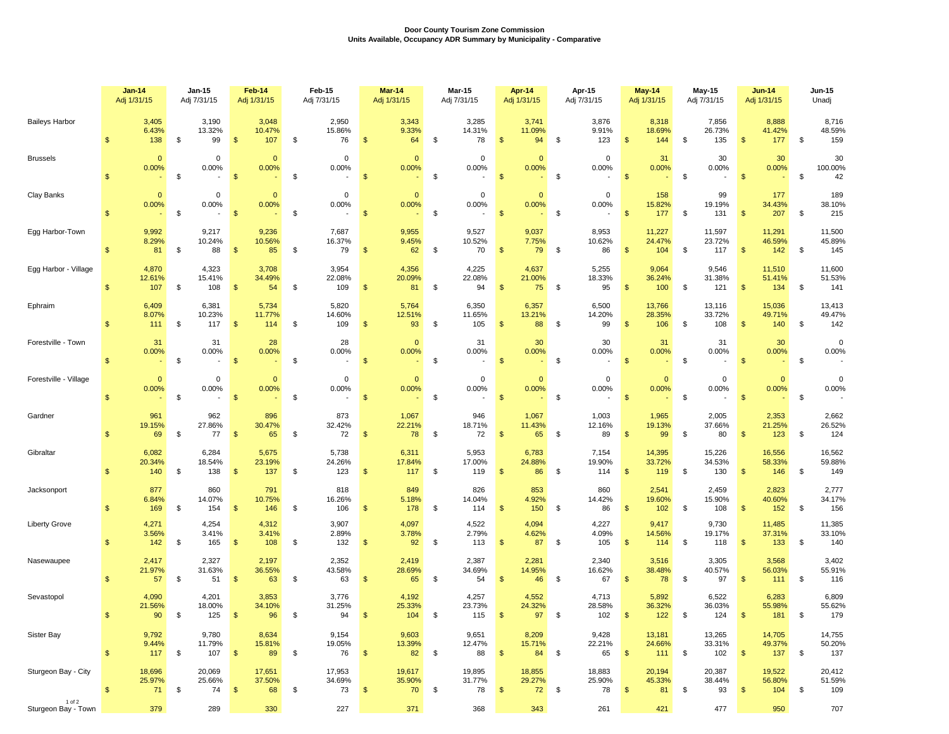## **Door County Tourism Zone Commission Units Available, Occupancy ADR Summary by Municipality - Comparative**

|                               |                | <b>Jan-14</b><br>Adj 1/31/15 |    | <b>Jan-15</b><br>Adj 7/31/15           |                | Feb-14<br>Adj 1/31/15  |    | Feb-15<br>Adj 7/31/15                            |                           | Mar-14<br>Adj 1/31/15           |    | <b>Mar-15</b><br>Adj 7/31/15                     |                | Apr-14<br>Adj 1/31/15                   |    | Apr-15<br>Adj 7/31/15  |                   | <b>May-14</b><br>Adj 1/31/15 |    | <b>May-15</b><br>Adj 7/31/15 |                           | <b>Jun-14</b><br>Adj 1/31/15  |    | Jun-15<br>Unadj         |
|-------------------------------|----------------|------------------------------|----|----------------------------------------|----------------|------------------------|----|--------------------------------------------------|---------------------------|---------------------------------|----|--------------------------------------------------|----------------|-----------------------------------------|----|------------------------|-------------------|------------------------------|----|------------------------------|---------------------------|-------------------------------|----|-------------------------|
| <b>Baileys Harbor</b>         | $\mathfrak{s}$ | 3,405<br>6.43%<br>138        | \$ | 3,190<br>13.32%<br>99                  | \$             | 3,048<br>10.47%<br>107 | \$ | 2,950<br>15.86%<br>76                            | $\sqrt{2}$                | 3,343<br>9.33%<br>64            | \$ | 3,285<br>14.31%<br>78                            | $\mathfrak{s}$ | 3,741<br>11.09%<br>94                   | \$ | 3,876<br>9.91%<br>123  | $\frac{1}{2}$     | 8,318<br>18.69%<br>144       | \$ | 7,856<br>26.73%<br>135       | \$                        | 8,888<br>41.42%<br>177        | \$ | 8,716<br>48.59%<br>159  |
| <b>Brussels</b>               | $\mathfrak{s}$ | $\overline{0}$<br>0.00%      | \$ | 0<br>0.00%<br>$\overline{\phantom{a}}$ | $\mathsf{\$}$  | $\mathbf{0}$<br>0.00%  | \$ | $\mathbf 0$<br>0.00%<br>$\overline{\phantom{a}}$ | $\mathbf{\$}$             | $\mathbf{0}$<br>0.00%<br>$\sim$ | \$ | $\mathbf 0$<br>0.00%<br>$\overline{\phantom{a}}$ | $\mathbb{S}$   | $\mathbf{0}$<br>0.00%<br>$\blacksquare$ | \$ | $\mathbf 0$<br>0.00%   | \$                | 31<br>0.00%                  | \$ | 30<br>0.00%                  | $\mathfrak{s}$            | 30<br>0.00%                   | \$ | 30<br>100.00%<br>42     |
| Clay Banks                    | $\mathfrak{s}$ | $\mathbf{0}$<br>0.00%        | \$ | 0<br>0.00%                             | $\mathfrak{s}$ | $\mathbf{0}$<br>0.00%  | \$ | $\mathbf 0$<br>0.00%                             | $\frac{1}{2}$             | $\mathbf{0}$<br>0.00%           | \$ | $\mathbf 0$<br>0.00%<br>$\overline{\phantom{a}}$ | $\mathfrak{s}$ | $\mathbf{0}$<br>0.00%                   | \$ | 0<br>0.00%             | $\frac{1}{2}$     | 158<br>15.82%<br>177         | \$ | 99<br>19.19%<br>131          | $\mathfrak{s}$            | 177<br>34.43%<br>207          | \$ | 189<br>38.10%<br>215    |
| Egg Harbor-Town               | $\mathfrak{s}$ | 9,992<br>8.29%<br>81         | \$ | 9,217<br>10.24%<br>88                  | $\mathfrak{s}$ | 9,236<br>10.56%<br>85  | \$ | 7,687<br>16.37%<br>79                            | $\mathfrak{s}$            | 9,955<br>9.45%<br>62            | \$ | 9,527<br>10.52%<br>70                            | $\mathfrak{s}$ | 9,037<br>7.75%<br>79                    | \$ | 8,953<br>10.62%<br>86  | $\frac{1}{2}$     | 11,227<br>24.47%<br>104      | \$ | 11,597<br>23.72%<br>117      | $\mathsf{\$}$             | 11,291<br>46.59%<br>142       | \$ | 11,500<br>45.89%<br>145 |
| Egg Harbor - Village          | $\mathsf{\$}$  | 4,870<br>12.61%<br>107       | \$ | 4,323<br>15.41%<br>108                 | $\frac{1}{2}$  | 3,708<br>34.49%<br>54  | \$ | 3,954<br>22.08%<br>109                           | \$                        | 4,356<br>20.09%<br>81           | \$ | 4,225<br>22.08%<br>94                            | $\mathfrak{S}$ | 4,637<br>21.00%<br>75                   | \$ | 5,255<br>18.33%<br>95  | $\frac{1}{2}$     | 9,064<br>36.24%<br>100       | \$ | 9,546<br>31.38%<br>121       | $\frac{1}{2}$             | 11,510<br>51.41%<br>134       | \$ | 11,600<br>51.53%<br>141 |
| Ephraim                       | $\mathfrak{s}$ | 6,409<br>8.07%<br>111        | \$ | 6,381<br>10.23%<br>117                 | $\mathfrak{s}$ | 5,734<br>11.77%<br>114 | \$ | 5,820<br>14.60%<br>109                           | $\mathfrak{s}$            | 5,764<br>12.51%<br>93           | \$ | 6,350<br>11.65%<br>105                           | $\mathfrak{s}$ | 6,357<br>13.21%<br>88                   | \$ | 6,500<br>14.20%<br>99  | \$                | 13,766<br>28.35%<br>106      | \$ | 13,116<br>33.72%<br>108      | $\mathfrak{s}$            | 15,036<br>49.71%<br>140       | \$ | 13,413<br>49.47%<br>142 |
| Forestville - Town            | $\mathfrak{s}$ | 31<br>0.00%                  | \$ | 31<br>0.00%                            | $\mathbf{\$}$  | 28<br>0.00%            | \$ | 28<br>0.00%                                      | $\mathbf{\$}$             | $\mathbf{0}$<br>0.00%<br>$\sim$ | \$ | 31<br>0.00%                                      | $\mathfrak{s}$ | 30<br>0.00%<br>$\sim$                   | \$ | 30<br>0.00%            | $\mathbf{\$}$     | 31<br>0.00%                  | \$ | 31<br>0.00%                  | $\mathfrak{s}$            | 30<br>0.00%<br>$\blacksquare$ | \$ | $\mathbf 0$<br>0.00%    |
| Forestville - Village         | $\mathfrak{s}$ | $\mathbf{0}$<br>0.00%        | \$ | 0<br>0.00%                             | $\mathbf{\$}$  | $\mathbf 0$<br>0.00%   | \$ | $\pmb{0}$<br>0.00%                               | $\mathbf{\$}$             | $\mathbf{0}$<br>0.00%           | \$ | $\mathbf 0$<br>0.00%                             | $\mathfrak{s}$ | $\mathbf{0}$<br>0.00%                   | \$ | $\mathbf 0$<br>0.00%   | \$                | $\mathbf{0}$<br>0.00%        | \$ | 0<br>0.00%                   | \$                        | $\mathbf{0}$<br>0.00%         | \$ | $\mathbf 0$<br>0.00%    |
| Gardner                       | $\mathfrak{s}$ | 961<br>19.15%<br>69          | \$ | 962<br>27.86%<br>77                    | $\frac{1}{2}$  | 896<br>30.47%<br>65    | \$ | 873<br>32.42%<br>72                              | $\sqrt{2}$                | 1,067<br>22.21%<br>78           | \$ | 946<br>18.71%<br>72                              | $\mathfrak{s}$ | 1,067<br>11.43%<br>65                   | \$ | 1,003<br>12.16%<br>89  | \$                | 1,965<br>19.13%<br>99        | \$ | 2,005<br>37.66%<br>80        | $\mathfrak{s}$            | 2,353<br>21.25%<br>123        | \$ | 2,662<br>26.52%<br>124  |
| Gibraltar                     | $\mathfrak{s}$ | 6,082<br>20.34%<br>140       | \$ | 6,284<br>18.54%<br>138                 | $\mathfrak{s}$ | 5,675<br>23.19%<br>137 | \$ | 5,738<br>24.26%<br>123                           | $\mathfrak{s}$            | 6,311<br>17.84%<br>117          | \$ | 5,953<br>17.00%<br>119                           | $\mathfrak{s}$ | 6,783<br>24.88%<br>86                   | \$ | 7,154<br>19.90%<br>114 | -\$               | 14,395<br>33.72%<br>119      | \$ | 15,226<br>34.53%<br>130      | \$                        | 16,556<br>58.33%<br>146       | \$ | 16,562<br>59.88%<br>149 |
| Jacksonport                   | $\mathbf{s}$   | 877<br>6.84%<br>169          | \$ | 860<br>14.07%<br>154                   | $\mathbf{\$}$  | 791<br>10.75%<br>146   | \$ | 818<br>16.26%<br>106                             | $\mathbf{\$}$             | 849<br>5.18%<br>178             | \$ | 826<br>14.04%<br>114                             | $\mathfrak{s}$ | 853<br>4.92%<br>150                     | \$ | 860<br>14.42%<br>86    | $\sqrt{2}$        | 2,541<br>19.60%<br>102       | \$ | 2,459<br>15.90%<br>108       | $\mathfrak{s}$            | 2,823<br>40.60%<br>152        | \$ | 2,777<br>34.17%<br>156  |
| <b>Liberty Grove</b>          | $\mathfrak{s}$ | 4,271<br>3.56%<br>142        | \$ | 4,254<br>3.41%<br>165                  | $\mathfrak{s}$ | 4,312<br>3.41%<br>108  | \$ | 3,907<br>2.89%<br>132                            | \$                        | 4,097<br>3.78%<br>92            | \$ | 4,522<br>2.79%<br>113                            | \$             | 4,094<br>4.62%<br>87                    | \$ | 4,227<br>4.09%<br>105  | $\frac{1}{2}$     | 9,417<br>14.56%<br>114       | \$ | 9,730<br>19.17%<br>118       | \$                        | 11,485<br>37.31%<br>133       | \$ | 11,385<br>33.10%<br>140 |
| Nasewaupee                    | $\mathfrak{L}$ | 2,417<br>21.97%<br>57        | \$ | 2,327<br>31.63%<br>51                  | $\mathsf{\$}$  | 2,197<br>36.55%<br>63  | \$ | 2,352<br>43.58%<br>63                            | $\mathfrak{s}$            | 2,419<br>28.69%<br>65           | \$ | 2,387<br>34.69%<br>54                            | $\mathfrak{s}$ | 2,281<br>14.95%<br>46                   | \$ | 2,340<br>16.62%<br>67  | $\mathbf{\$}$     | 3,516<br>38.48%<br>78        | \$ | 3,305<br>40.57%<br>97        | $\mathfrak{s}$            | 3,568<br>56.03%<br>111        | \$ | 3,402<br>55.91%<br>116  |
| Sevastopol                    | $\mathsf{\$}$  | 4,090<br>21.56%<br>90        | \$ | 4,201<br>18.00%<br>125                 | \$             | 3,853<br>34.10%<br>96  | \$ | 3,776<br>31.25%<br>94                            | \$                        | 4,192<br>25.33%<br>104          | \$ | 4,257<br>23.73%<br>115                           | $\mathfrak{s}$ | 4,552<br>24.32%<br>97                   | \$ | 4,713<br>28.58%<br>102 | $\mathbf{s}$      | 5,892<br>36.32%<br>122       | \$ | 6,522<br>36.03%<br>124       | \$                        | 6,283<br>55.98%<br>181        | \$ | 6,809<br>55.62%<br>179  |
| Sister Bay                    | $\frac{1}{2}$  | 9,792<br>9.44%<br>117        | \$ | 9,780<br>11.79%<br>107                 | $\sqrt{3}$     | 8,634<br>15.81%<br>89  | \$ | 9,154<br>19.05%<br>76                            | $\boldsymbol{\mathsf{S}}$ | 9,603<br>13.39%<br>82           | \$ | 9,651<br>12.47%<br>88                            | \$             | 8,209<br>15.71%<br>84                   | \$ | 9,428<br>22.21%<br>65  | \$                | 13,181<br>24.66%<br>111      | \$ | 13,265<br>33.31%<br>102      | $\boldsymbol{\mathsf{S}}$ | 14,705<br>49.37%<br>137       | \$ | 14,755<br>50.20%<br>137 |
| Sturgeon Bay - City<br>1 of 2 | $\frac{1}{2}$  | 18,696<br>25.97%<br>71       | \$ | 20,069<br>25.66%<br>74                 | $\sqrt{3}$     | 17,651<br>37.50%<br>68 | \$ | 17,953<br>34.69%<br>73                           | $\sqrt[6]{3}$             | 19,617<br>35.90%<br>70          | \$ | 19,895<br>31.77%<br>78                           | $\mathfrak{F}$ | 18,855<br>29.27%<br>72                  | \$ | 18,883<br>25.90%<br>78 | $\boldsymbol{\$}$ | 20,194<br>45.33%<br>81       | \$ | 20,387<br>38.44%<br>93       | $\boldsymbol{\mathsf{S}}$ | 19,522<br>56.80%<br>104       | \$ | 20,412<br>51.59%<br>109 |
| Sturgeon Bay - Town           |                | 379                          |    | 289                                    |                | 330                    |    | 227                                              |                           | 371                             |    | 368                                              |                | 343                                     |    | 261                    |                   | 421                          |    | 477                          |                           | 950                           |    | 707                     |